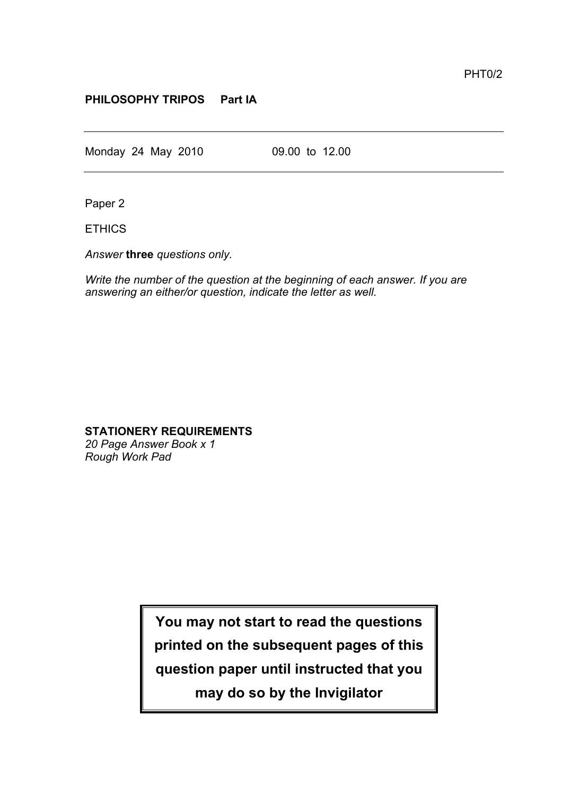## **PHILOSOPHY TRIPOS Part IA**

Monday 24 May 2010 09.00 to 12.00

Paper 2

ETHICS

*Answer* **three** *questions only.*

*Write the number of the question at the beginning of each answer. If you are answering an either/or question, indicate the letter as well.*

## **STATIONERY REQUIREMENTS**

*20 Page Answer Book x 1 Rough Work Pad*

> **You may not start to read the questions printed on the subsequent pages of this question paper until instructed that you may do so by the Invigilator**